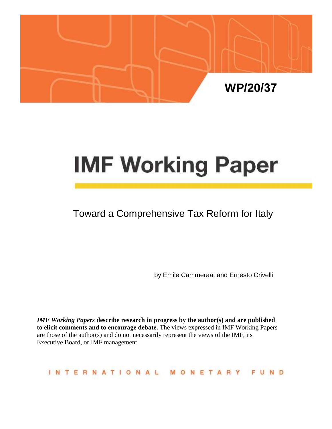

# **IMF Working Paper**

## Toward a Comprehensive Tax Reform for Italy

by Emile Cammeraat and Ernesto Crivelli

*IMF Working Papers* **describe research in progress by the author(s) and are published to elicit comments and to encourage debate.** The views expressed in IMF Working Papers are those of the author(s) and do not necessarily represent the views of the IMF, its Executive Board, or IMF management.

#### INTERNATIONAL MONETARY FUND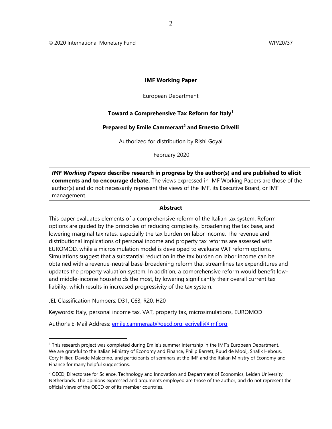© 2020 International Monetary Fund WP/20/37

#### **IMF Working Paper**

European Department

#### **Toward a Comprehensive Tax Reform for Italy<sup>1</sup>**

#### **Prepared by Emile Cammeraat<sup>2</sup> and Ernesto Crivelli**

Authorized for distribution by Rishi Goyal

February 2020

*IMF Working Papers* **describe research in progress by the author(s) and are published to elicit comments and to encourage debate.** The views expressed in IMF Working Papers are those of the author(s) and do not necessarily represent the views of the IMF, its Executive Board, or IMF management.

#### **Abstract**

This paper evaluates elements of a comprehensive reform of the Italian tax system. Reform options are guided by the principles of reducing complexity, broadening the tax base, and lowering marginal tax rates, especially the tax burden on labor income. The revenue and distributional implications of personal income and property tax reforms are assessed with EUROMOD, while a microsimulation model is developed to evaluate VAT reform options. Simulations suggest that a substantial reduction in the tax burden on labor income can be obtained with a revenue-neutral base-broadening reform that streamlines tax expenditures and updates the property valuation system. In addition, a comprehensive reform would benefit lowand middle-income households the most, by lowering significantly their overall current tax liability, which results in increased progressivity of the tax system.

JEL Classification Numbers: D31, C63, R20, H20

Keywords: Italy, personal income tax, VAT, property tax, microsimulations, EUROMOD

Author's E-Mail Address: [emile.cammeraat@oecd.org;](mailto:emile.cammeraat@oecd.org) [ecrivelli@imf.org](mailto:ecrivelli@imf.org)

<sup>1</sup> This research project was completed during Emile's summer internship in the IMF's European Department. We are grateful to the Italian Ministry of Economy and Finance, Philip Barrett, Ruud de Mooij, Shafik Hebous, Cory Hillier, Davide Malacrino, and participants of seminars at the IMF and the Italian Ministry of Economy and Finance for many helpful suggestions.

<sup>&</sup>lt;sup>2</sup> OECD, Directorate for Science, Technology and Innovation and Department of Economics, Leiden University, Netherlands. The opinions expressed and arguments employed are those of the author, and do not represent the official views of the OECD or of its member countries.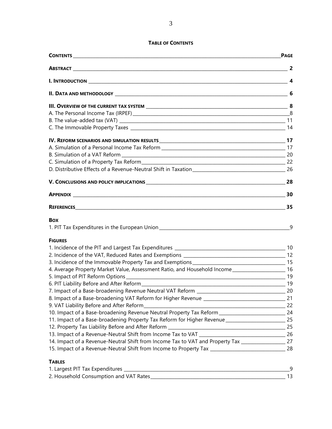#### **TABLE OF CONTENTS**

|                                                                                                         | <b>PAGE</b> |
|---------------------------------------------------------------------------------------------------------|-------------|
|                                                                                                         |             |
|                                                                                                         |             |
|                                                                                                         |             |
|                                                                                                         |             |
|                                                                                                         |             |
|                                                                                                         |             |
|                                                                                                         |             |
| IV. REFORM SCENARIOS AND SIMULATION RESULTS <b>And According to the COVID-10</b> 17                     |             |
|                                                                                                         |             |
|                                                                                                         |             |
|                                                                                                         |             |
|                                                                                                         |             |
|                                                                                                         | 28          |
|                                                                                                         | 30          |
|                                                                                                         |             |
| <b>Box</b>                                                                                              |             |
|                                                                                                         | 9           |
| <b>FIGURES</b>                                                                                          |             |
|                                                                                                         |             |
|                                                                                                         |             |
|                                                                                                         |             |
| 4. Average Property Market Value, Assessment Ratio, and Household Income________________________ 16     |             |
|                                                                                                         |             |
|                                                                                                         |             |
|                                                                                                         |             |
| 8. Impact of a Base-broadening VAT Reform for Higher Revenue ____________________                       | 21          |
|                                                                                                         | 22          |
| 10. Impact of a Base-broadening Revenue Neutral Property Tax Reform ________________________________    | 24          |
| 11. Impact of a Base-broadening Property Tax Reform for Higher Revenue ____________________________ 25  |             |
|                                                                                                         |             |
|                                                                                                         |             |
| 14. Impact of a Revenue-Neutral Shift from Income Tax to VAT and Property Tax ______________________ 27 |             |
|                                                                                                         |             |
| <b>TABLES</b>                                                                                           |             |

| 1. Largest PIT Tax Expenditures        |  |
|----------------------------------------|--|
| 2. Household Consumption and VAT Rates |  |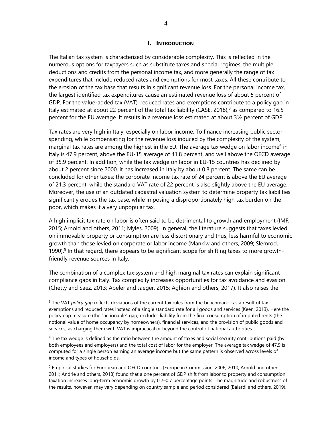#### **I. INTRODUCTION**

The Italian tax system is characterized by considerable complexity. This is reflected in the numerous options for taxpayers such as substitute taxes and special regimes, the multiple deductions and credits from the personal income tax, and more generally the range of tax expenditures that include reduced rates and exemptions for most taxes. All these contribute to the erosion of the tax base that results in significant revenue loss. For the personal income tax, the largest identified tax expenditures cause an estimated revenue loss of about 5 percent of GDP. For the value-added tax (VAT), reduced rates and exemptions contribute to a policy gap in Italy estimated at about 22 percent of the total tax liability (CASE, 2018), $3$  as compared to 16.5 percent for the EU average. It results in a revenue loss estimated at about 3½ percent of GDP.

Tax rates are very high in Italy, especially on labor income. To finance increasing public sector spending, while compensating for the revenue loss induced by the complexity of the system, marginal tax rates are among the highest in the EU. The average tax wedge on labor income<sup>4</sup> in Italy is 47.9 percent, above the EU-15 average of 41.8 percent, and well above the OECD average of 35.9 percent. In addition, while the tax wedge on labor in EU-15 countries has declined by about 2 percent since 2000, it has increased in Italy by about 0.8 percent. The same can be concluded for other taxes: the corporate income tax rate of 24 percent is above the EU average of 21.3 percent, while the standard VAT rate of 22 percent is also slightly above the EU average. Moreover, the use of an outdated cadastral valuation system to determine property tax liabilities significantly erodes the tax base, while imposing a disproportionately high tax burden on the poor, which makes it a very unpopular tax.

A high implicit tax rate on labor is often said to be detrimental to growth and employment (IMF, 2015; Arnold and others, 2011; Myles, 2009). In general, the literature suggests that taxes levied on immovable property or consumption are less distortionary and thus, less harmful to economic growth than those levied on corporate or labor income (Mankiw and others, 2009; Slemrod, 1990).<sup>5</sup> In that regard, there appears to be significant scope for shifting taxes to more growthfriendly revenue sources in Italy.

The combination of a complex tax system and high marginal tax rates can explain significant compliance gaps in Italy. Tax complexity increases opportunities for tax avoidance and evasion (Chetty and Saez, 2013; Abeler and Jaeger, 2015; Aghion and others, 2017). It also raises the

<sup>3</sup> The VAT *policy gap* reflects deviations of the current tax rules from the benchmark—as a result of tax exemptions and reduced rates instead of a single standard rate for all goods and services (Keen, 2013). Here the policy gap measure (the "actionable" gap) excludes liability from the final consumption of imputed rents (the notional value of home occupancy by homeowners), financial services, and the provision of public goods and services, as charging them with VAT is impractical or beyond the control of national authorities.

<sup>&</sup>lt;sup>4</sup> The tax wedge is defined as the ratio between the amount of taxes and social security contributions paid (by both employees and employers) and the total cost of labor for the employer. The average tax wedge of 47.9 is computed for a single person earning an average income but the same pattern is observed across levels of income and types of households.

<sup>&</sup>lt;sup>5</sup> Empirical studies for European and OECD countries (European Commission, 2006, 2010; Arnold and others, 2011; Andrle and others, 2018) found that a one percent of GDP shift from labor to property and consumption taxation increases long-term economic growth by 0.2–0.7 percentage points. The magnitude and robustness of the results, however, may vary depending on country sample and period considered (Baiardi and others, 2019).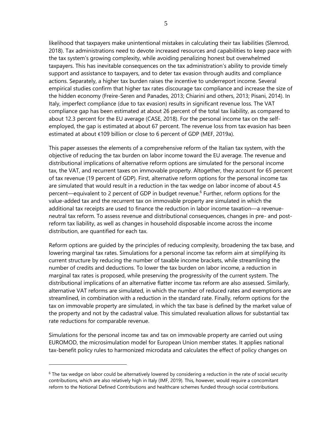likelihood that taxpayers make unintentional mistakes in calculating their tax liabilities (Slemrod, 2018). Tax administrations need to devote increased resources and capabilities to keep pace with the tax system's growing complexity, while avoiding penalizing honest but overwhelmed taxpayers. This has inevitable consequences on the tax administration's ability to provide timely support and assistance to taxpayers, and to deter tax evasion through audits and compliance actions. Separately, a higher tax burden raises the incentive to underreport income. Several empirical studies confirm that higher tax rates discourage tax compliance and increase the size of the hidden economy (Freire-Seren and Panades, 2013; Chiarini and others, 2013; Pisani, 2014). In Italy, imperfect compliance (due to tax evasion) results in significant revenue loss. The VAT compliance gap has been estimated at about 26 percent of the total tax liability, as compared to about 12.3 percent for the EU average (CASE, 2018). For the personal income tax on the selfemployed, the gap is estimated at about 67 percent. The revenue loss from tax evasion has been estimated at about €109 billion or close to 6 percent of GDP (MEF, 2019a).

This paper assesses the elements of a comprehensive reform of the Italian tax system, with the objective of reducing the tax burden on labor income toward the EU average. The revenue and distributional implications of alternative reform options are simulated for the personal income tax, the VAT, and recurrent taxes on immovable property. Altogether, they account for 65 percent of tax revenue (19 percent of GDP). First, alternative reform options for the personal income tax are simulated that would result in a reduction in the tax wedge on labor income of about 4.5 percent—equivalent to 2 percent of GDP in budget revenue.<sup>6</sup> Further, reform options for the value-added tax and the recurrent tax on immovable property are simulated in which the additional tax receipts are used to finance the reduction in labor income taxation—a revenueneutral tax reform. To assess revenue and distributional consequences, changes in pre- and postreform tax liability, as well as changes in household disposable income across the income distribution, are quantified for each tax.

Reform options are guided by the principles of reducing complexity, broadening the tax base, and lowering marginal tax rates. Simulations for a personal income tax reform aim at simplifying its current structure by reducing the number of taxable income brackets, while streamlining the number of credits and deductions. To lower the tax burden on labor income, a reduction in marginal tax rates is proposed, while preserving the progressivity of the current system. The distributional implications of an alternative flatter income tax reform are also assessed. Similarly, alternative VAT reforms are simulated, in which the number of reduced rates and exemptions are streamlined, in combination with a reduction in the standard rate. Finally, reform options for the tax on immovable property are simulated, in which the tax base is defined by the market value of the property and not by the cadastral value. This simulated revaluation allows for substantial tax rate reductions for comparable revenue.

Simulations for the personal income tax and tax on immovable property are carried out using EUROMOD, the microsimulation model for European Union member states. It applies national tax-benefit policy rules to harmonized microdata and calculates the effect of policy changes on

 $6$  The tax wedge on labor could be alternatively lowered by considering a reduction in the rate of social security contributions, which are also relatively high in Italy (IMF, 2019). This, however, would require a concomitant reform to the Notional Defined Contributions and healthcare schemes funded through social contributions.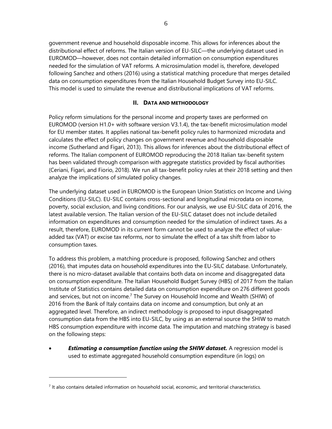government revenue and household disposable income. This allows for inferences about the distributional effect of reforms. The Italian version of EU-SILC—the underlying dataset used in EUROMOD—however, does not contain detailed information on consumption expenditures needed for the simulation of VAT reforms. A microsimulation model is, therefore, developed following Sanchez and others (2016) using a statistical matching procedure that merges detailed data on consumption expenditures from the Italian Household Budget Survey into EU-SILC. This model is used to simulate the revenue and distributional implications of VAT reforms.

#### **II. DATA AND METHODOLOGY**

Policy reform simulations for the personal income and property taxes are performed on EUROMOD (version H1.0+ with software version V3.1.4), the tax-benefit microsimulation model for EU member states. It applies national tax-benefit policy rules to harmonized microdata and calculates the effect of policy changes on government revenue and household disposable income (Sutherland and Figari, 2013). This allows for inferences about the distributional effect of reforms. The Italian component of EUROMOD reproducing the 2018 Italian tax-benefit system has been validated through comparison with aggregate statistics provided by fiscal authorities (Ceriani, Figari, and Fiorio, 2018). We run all tax-benefit policy rules at their 2018 setting and then analyze the implications of simulated policy changes.

The underlying dataset used in EUROMOD is the European Union Statistics on Income and Living Conditions (EU-SILC). EU-SILC contains cross-sectional and longitudinal microdata on income, poverty, social exclusion, and living conditions. For our analysis, we use EU-SILC data of 2016, the latest available version. The Italian version of the EU-SILC dataset does not include detailed information on expenditures and consumption needed for the simulation of indirect taxes. As a result, therefore, EUROMOD in its current form cannot be used to analyze the effect of valueadded tax (VAT) or excise tax reforms, nor to simulate the effect of a tax shift from labor to consumption taxes.

To address this problem, a matching procedure is proposed, following Sanchez and others (2016), that imputes data on household expenditures into the EU-SILC database. Unfortunately, there is no micro-dataset available that contains both data on income and disaggregated data on consumption expenditure. The Italian Household Budget Survey (HBS) of 2017 from the Italian Institute of Statistics contains detailed data on consumption expenditure on 276 different goods and services, but not on income.<sup>7</sup> The Survey on Household Income and Wealth (SHIW) of 2016 from the Bank of Italy contains data on income and consumption, but only at an aggregated level. Therefore, an indirect methodology is proposed to input disaggregated consumption data from the HBS into EU-SILC, by using as an external source the SHIW to match HBS consumption expenditure with income data. The imputation and matching strategy is based on the following steps:

**Estimating a consumption function using the SHIW dataset.** A regression model is used to estimate aggregated household consumption expenditure (in logs) on

<sup>&</sup>lt;sup>7</sup> It also contains detailed information on household social, economic, and territorial characteristics.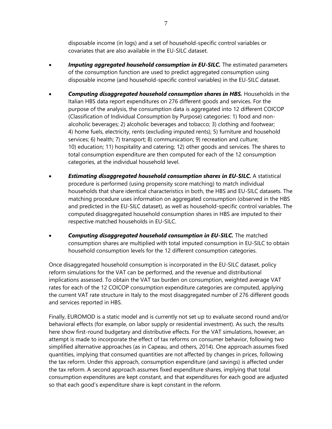disposable income (in logs) and a set of household-specific control variables or covariates that are also available in the EU-SILC dataset.

- **Imputing aggregated household consumption in EU-SILC.** The estimated parameters of the consumption function are used to predict aggregated consumption using disposable income (and household-specific control variables) in the EU-SILC dataset.
- *Computing disaggregated household consumption shares in HBS.* Households in the Italian HBS data report expenditures on 276 different goods and services. For the purpose of the analysis, the consumption data is aggregated into 12 different COICOP (Classification of Individual Consumption by Purpose) categories: 1) food and nonalcoholic beverages; 2) alcoholic beverages and tobacco; 3) clothing and footwear; 4) home fuels, electricity, rents (excluding imputed rents); 5) furniture and household services; 6) health; 7) transport; 8) communication; 9) recreation and culture; 10) education; 11) hospitality and catering; 12) other goods and services. The shares to total consumption expenditure are then computed for each of the 12 consumption categories, at the individual household level.
- *Estimating disaggregated household consumption shares in EU-SILC.* A statistical procedure is performed (using propensity score matching) to match individual households that share identical characteristics in both, the HBS and EU-SILC datasets. The matching procedure uses information on aggregated consumption (observed in the HBS and predicted in the EU-SILC dataset), as well as household-specific control variables. The computed disaggregated household consumption shares in HBS are imputed to their respective matched households in EU-SILC.
- *Computing disaggregated household consumption in EU-SILC.* The matched consumption shares are multiplied with total imputed consumption in EU-SILC to obtain household consumption levels for the 12 different consumption categories.

Once disaggregated household consumption is incorporated in the EU-SILC dataset, policy reform simulations for the VAT can be performed, and the revenue and distributional implications assessed. To obtain the VAT tax burden on consumption, weighted average VAT rates for each of the 12 COICOP consumption expenditure categories are computed, applying the current VAT rate structure in Italy to the most disaggregated number of 276 different goods and services reported in HBS.

Finally, EUROMOD is a static model and is currently not set up to evaluate second round and/or behavioral effects (for example, on labor supply or residential investment). As such, the results here show first-round budgetary and distributive effects. For the VAT simulations, however, an attempt is made to incorporate the effect of tax reforms on consumer behavior, following two simplified alternative approaches (as in Capeau, and others, 2014). One approach assumes fixed quantities, implying that consumed quantities are not affected by changes in prices, following the tax reform. Under this approach, consumption expenditure (and savings) is affected under the tax reform. A second approach assumes fixed expenditure shares, implying that total consumption expenditures are kept constant, and that expenditures for each good are adjusted so that each good's expenditure share is kept constant in the reform.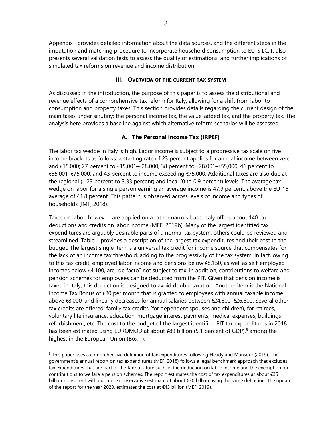Appendix I provides detailed information about the data sources, and the different steps in the imputation and matching procedure to incorporate household consumption to EU-SILC. It also presents several validation tests to assess the quality of estimations, and further implications of simulated tax reforms on revenue and income distribution.

#### **III. OVERVIEW OF THE CURRENT TAX SYSTEM**

As discussed in the introduction, the purpose of this paper is to assess the distributional and revenue effects of a comprehensive tax reform for Italy, allowing for a shift from labor to consumption and property taxes. This section provides details regarding the current design of the main taxes under scrutiny: the personal income tax, the value-added tax, and the property tax. The analysis here provides a baseline against which alternative reform scenarios will be assessed.

#### **A. The Personal Income Tax (IRPEF)**

The labor tax wedge in Italy is high. Labor income is subject to a progressive tax scale on five income brackets as follows: a starting rate of 23 percent applies for annual income between zero and €15,000; 27 percent to €15,001–€28,000; 38 percent to €28,001–€55,000; 41 percent to €55,001–€75,000; and 43 percent to income exceeding €75,000. Additional taxes are also due at the regional (1.23 percent to 3.33 percent) and local (0 to 0.9 percent) levels. The average tax wedge on labor for a single person earning an average income is 47.9 percent, above the EU-15 average of 41.8 percent. This pattern is observed across levels of income and types of households (IMF, 2018).

Taxes on labor, however, are applied on a rather narrow base. Italy offers about 140 tax deductions and credits on labor income (MEF, 2019b). Many of the largest identified tax expenditures are arguably desirable parts of a normal tax system, others could be reviewed and streamlined. Table 1 provides a description of the largest tax expenditures and their cost to the budget. The largest single item is a universal tax credit for income source that compensates for the lack of an income tax threshold, adding to the progressivity of the tax system. In fact, owing to this tax credit, employed labor income and pensions below €8,150, as well as self-employed incomes below €4,100, are "de facto" not subject to tax. In addition, contributions to welfare and pension schemes for employees can be deducted from the PIT. Given that pension income is taxed in Italy, this deduction is designed to avoid double taxation. Another item is the National Income Tax Bonus of €80 per month that is granted to employees with annual taxable income above €8,000, and linearly decreases for annual salaries between €24,600–€26,600. Several other tax credits are offered: family tax credits (for dependent spouses and children), for retirees, voluntary life insurance, education, mortgage interest payments, medical expenses, buildings refurbishment, etc. The cost to the budget of the largest identified PIT tax expenditures in 2018 has been estimated using EUROMOD at about  $\epsilon$ 89 billion (5.1 percent of GDP),<sup>8</sup> among the highest in the European Union (Box 1).

<sup>8</sup> This paper uses a comprehensive definition of tax expenditures following Heady and Mansour (2019). The government's annual report on tax expenditures (MEF, 2018) follows a legal benchmark approach that excludes tax expenditures that are part of the tax structure such as the deduction on labor income and the exemption on contributions to welfare a pension schemes. The report estimates the cost of tax expenditures at about €35 billion, consistent with our more conservative estimate of about €30 billion using the same definition. The update of the report for the year 2020, estimates the cost at €43 billion (MEF, 2019).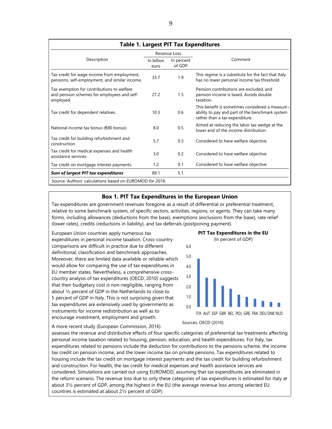| <b>Table 1. Largest PIT Tax Expenditures</b>                                                           |                    |                      |                                                                                                                                     |  |  |  |  |
|--------------------------------------------------------------------------------------------------------|--------------------|----------------------|-------------------------------------------------------------------------------------------------------------------------------------|--|--|--|--|
|                                                                                                        |                    | Revenue Loss         |                                                                                                                                     |  |  |  |  |
| Description                                                                                            | In billion<br>euro | In percent<br>of GDP | Comment                                                                                                                             |  |  |  |  |
| Tax credit for wage income from employment,<br>pensions, self-employment, and similar income.          | 33.7               | 1.9                  | This regime is a substitute for the fact that Italy<br>has no lower personal income tax threshold.                                  |  |  |  |  |
| Tax exemption for contributions to welfare<br>and pension schemes for employees and self-<br>employed. | 27.2               | 1.5                  | Pension contributions are excluded, and<br>pension income is taxed. Avoids double<br>taxation.                                      |  |  |  |  |
| Tax credit for dependent relatives.                                                                    | 10.3               | 0.6                  | This benefit is sometimes considered a measure<br>ability to pay and part of the benchmark system<br>rather than a tax expenditure. |  |  |  |  |
| National income tax bonus ( $\epsilon$ 80 bonus)                                                       | 8.0                | 0.5                  | Aimed at reducing the labor tax wedge at the<br>lower end of the income distribution.                                               |  |  |  |  |
| Tax credit for building refurbishment and<br>construction.                                             | 5.7                | 0.3                  | Considered to have welfare objective.                                                                                               |  |  |  |  |
| Tax credit for medical expenses and health<br>assistance services.                                     | 3.0                | 0.2                  | Considered to have welfare objective.                                                                                               |  |  |  |  |
| Tax credit on mortgage interest payments.                                                              | 1.2                | 0.1                  | Considered to have welfare objective.                                                                                               |  |  |  |  |
| Sum of largest PIT tax expenditures                                                                    | 89.1               | 5.1                  |                                                                                                                                     |  |  |  |  |
| Source: Authors' calculations based on EUROMOD for 2018.                                               |                    |                      |                                                                                                                                     |  |  |  |  |

#### **Box 1. PIT Tax Expenditures in the European Union**

Tax expenditures are government revenues foregone as a result of differential or preferential treatment, relative to some benchmark system, of specific sectors, activities, regions, or agents. They can take many forms, including allowances (deductions from the base), exemptions (exclusions from the base), rate relief (lower rates), credits (reductions in liability), and tax deferrals (postponing payment).

European Union countries apply numerous tax expenditures in personal income taxation. Cross-country comparisons are difficult in practice due to different definitional, classification and benchmark approaches. Moreover, there are limited data available or reliable which would allow for comparing the use of tax expenditures in EU member states. Nevertheless, a comprehensive crosscountry analysis of tax expenditures (OECD, 2010) suggests that their budgetary cost is non-negligible, ranging from about ½ percent of GDP in the Netherlands to close to 5 percent of GDP in Italy. This is not surprising given that tax expenditures are extensively used by governments as instruments for income redistribution as well as to encourage investment, employment and growth.

**PIT Tax Expenditures in the EU** (In percent of GDP)



A more recent study (European Commission, 2016)

assesses the revenue and distributive effects of four specific categories of preferential tax treatments affecting personal income taxation related to housing, pension, education, and health expenditures. For Italy, tax expenditures related to pensions include the deduction for contributions to the pensions scheme, the income tax credit on pension income, and the lower income tax on private pensions. Tax expenditures related to housing include the tax credit on mortgage interest payments and the tax credit for building refurbishment and construction. For health, the tax credit for medical expenses and health assistance services are considered. Simulations are carried out using EUROMOD, assuming that tax expenditures are eliminated in the reform scenario. The revenue loss due to only these categories of tax expenditures is estimated for Italy at about 3½ percent of GDP, among the highest in the EU (the average revenue loss among selected EU countries is estimated at about 2½ percent of GDP).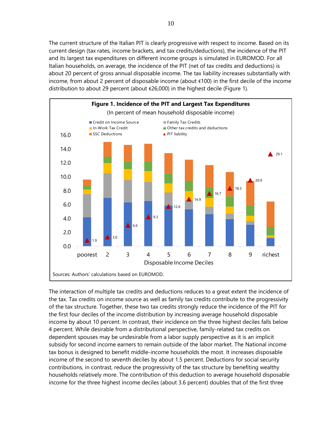The current structure of the Italian PIT is clearly progressive with respect to income. Based on its current design (tax rates, income brackets, and tax credits/deductions), the incidence of the PIT and its largest tax expenditures on different income groups is simulated in EUROMOD. For all Italian households, on average, the incidence of the PIT (net of tax credits and deductions) is about 20 percent of gross annual disposable income. The tax liability increases substantially with income, from about 2 percent of disposable income (about €100) in the first decile of the income distribution to about 29 percent (about €26,000) in the highest decile (Figure 1).



The interaction of multiple tax credits and deductions reduces to a great extent the incidence of the tax. Tax credits on income source as well as family tax credits contribute to the progressivity of the tax structure. Together, these two tax credits strongly reduce the incidence of the PIT for the first four deciles of the income distribution by increasing average household disposable income by about 10 percent. In contrast, their incidence on the three highest deciles falls below 4 percent. While desirable from a distributional perspective, family-related tax credits on dependent spouses may be undesirable from a labor supply perspective as it is an implicit subsidy for second income earners to remain outside of the labor market. The National income tax bonus is designed to benefit middle-income households the most. It increases disposable income of the second to seventh deciles by about 1.5 percent. Deductions for social security contributions, in contrast, reduce the progressivity of the tax structure by benefiting wealthy households relatively more. The contribution of this deduction to average household disposable income for the three highest income deciles (about 3.6 percent) doubles that of the first three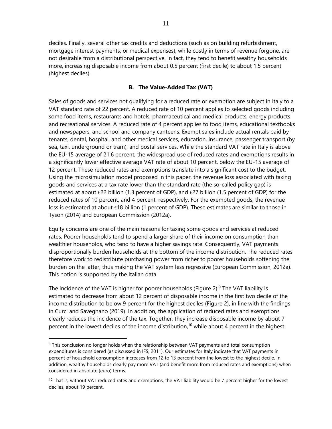deciles. Finally, several other tax credits and deductions (such as on building refurbishment, mortgage interest payments, or medical expenses), while costly in terms of revenue forgone, are not desirable from a distributional perspective. In fact, they tend to benefit wealthy households more, increasing disposable income from about 0.5 percent (first decile) to about 1.5 percent (highest deciles).

#### **B. The Value-Added Tax (VAT)**

Sales of goods and services not qualifying for a reduced rate or exemption are subject in Italy to a VAT standard rate of 22 percent. A reduced rate of 10 percent applies to selected goods including some food items, restaurants and hotels, pharmaceutical and medical products, energy products and recreational services. A reduced rate of 4 percent applies to food items, educational textbooks and newspapers, and school and company canteens. Exempt sales include actual rentals paid by tenants, dental, hospital, and other medical services, education, insurance, passenger transport (by sea, taxi, underground or tram), and postal services. While the standard VAT rate in Italy is above the EU-15 average of 21.6 percent, the widespread use of reduced rates and exemptions results in a significantly lower effective average VAT rate of about 10 percent, below the EU-15 average of 12 percent. These reduced rates and exemptions translate into a significant cost to the budget. Using the microsimulation model proposed in this paper, the revenue loss associated with taxing goods and services at a tax rate lower than the standard rate (the so-called policy gap) is estimated at about €22 billion (1.3 percent of GDP), and €27 billion (1.5 percent of GDP) for the reduced rates of 10 percent, and 4 percent, respectively. For the exempted goods, the revenue loss is estimated at about €18 billion (1 percent of GDP). These estimates are similar to those in Tyson (2014) and European Commission (2012a).

Equity concerns are one of the main reasons for taxing some goods and services at reduced rates. Poorer households tend to spend a larger share of their income on consumption than wealthier households, who tend to have a higher savings rate. Consequently, VAT payments disproportionally burden households at the bottom of the income distribution. The reduced rates therefore work to redistribute purchasing power from richer to poorer households softening the burden on the latter, thus making the VAT system less regressive (European Commission, 2012a). This notion is supported by the Italian data.

The incidence of the VAT is higher for poorer households (Figure 2). $9$  The VAT liability is estimated to decrease from about 12 percent of disposable income in the first two decile of the income distribution to below 9 percent for the highest deciles (Figure 2), in line with the findings in Curci and Savegnano (2019). In addition, the application of reduced rates and exemptions clearly reduces the incidence of the tax. Together, they increase disposable income by about 7 percent in the lowest deciles of the income distribution,<sup>10</sup> while about 4 percent in the highest

 $\overline{a}$ 

<sup>&</sup>lt;sup>9</sup> This conclusion no longer holds when the relationship between VAT payments and total consumption expenditures is considered (as discussed in IFS, 2011). Our estimates for Italy indicate that VAT payments in percent of household consumption increases from 12 to 13 percent from the lowest to the highest decile. In addition, wealthy households clearly pay more VAT (and benefit more from reduced rates and exemptions) when considered in absolute (euro) terms.

 $10$  That is, without VAT reduced rates and exemptions, the VAT liability would be 7 percent higher for the lowest deciles, about 19 percent.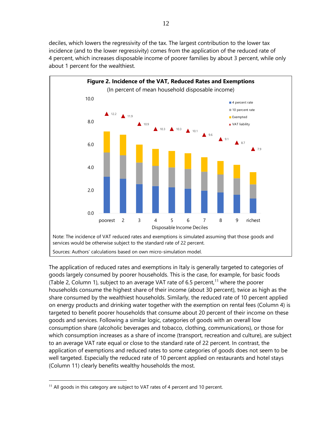deciles, which lowers the regressivity of the tax. The largest contribution to the lower tax incidence (and to the lower regressivity) comes from the application of the reduced rate of 4 percent, which increases disposable income of poorer families by about 3 percent, while only about 1 percent for the wealthiest.



The application of reduced rates and exemptions in Italy is generally targeted to categories of goods largely consumed by poorer households. This is the case, for example, for basic foods (Table 2, Column 1), subject to an average VAT rate of 6.5 percent,<sup>11</sup> where the poorer households consume the highest share of their income (about 30 percent), twice as high as the share consumed by the wealthiest households. Similarly, the reduced rate of 10 percent applied on energy products and drinking water together with the exemption on rental fees (Column 4) is targeted to benefit poorer households that consume about 20 percent of their income on these goods and services. Following a similar logic, categories of goods with an overall low consumption share (alcoholic beverages and tobacco, clothing, communications), or those for which consumption increases as a share of income (transport, recreation and culture), are subject to an average VAT rate equal or close to the standard rate of 22 percent. In contrast, the application of exemptions and reduced rates to some categories of goods does not seem to be well targeted. Especially the reduced rate of 10 percent applied on restaurants and hotel stays (Column 11) clearly benefits wealthy households the most.

<sup>&</sup>lt;sup>11</sup> All goods in this category are subject to VAT rates of 4 percent and 10 percent.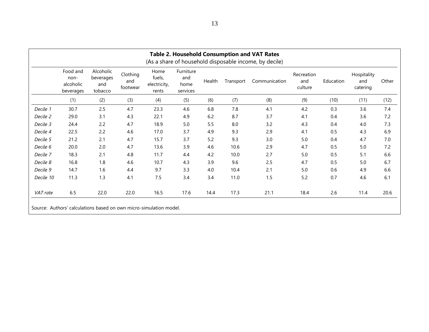|           | Food and<br>non-<br>alcoholic<br>beverages | Alcoholic<br>beverages<br>and<br>tobacco | Clothing<br>and<br>footwear | Home<br>fuels,<br>electricity,<br>rents | Furniture<br>and<br>home<br>services | Health | Transport | Communication | Recreation<br>and<br>culture | Education | Hospitality<br>and<br>catering | Other |
|-----------|--------------------------------------------|------------------------------------------|-----------------------------|-----------------------------------------|--------------------------------------|--------|-----------|---------------|------------------------------|-----------|--------------------------------|-------|
|           | (1)                                        | (2)                                      | (3)                         | (4)                                     | (5)                                  | (6)    | (7)       | (8)           | (9)                          | (10)      | (11)                           | (12)  |
| Decile 1  | 30.7                                       | 2.5                                      | 4.7                         | 23.3                                    | 4.6                                  | 6.8    | 7.8       | 4.1           | 4.2                          | 0.3       | 3.6                            | 7.4   |
| Decile 2  | 29.0                                       | 3.1                                      | 4.3                         | 22.1                                    | 4.9                                  | 6.2    | 8.7       | 3.7           | 4.1                          | 0.4       | 3.6                            | 7.2   |
| Decile 3  | 24.4                                       | 2.2                                      | 4.7                         | 18.9                                    | 5.0                                  | 5.5    | 8.0       | 3.2           | 4.3                          | 0.4       | 4.0                            | 7.3   |
| Decile 4  | 22.5                                       | 2.2                                      | 4.6                         | 17.0                                    | 3.7                                  | 4.9    | 9.3       | 2.9           | 4.1                          | 0.5       | 4.3                            | 6.9   |
| Decile 5  | 21.2                                       | 2.1                                      | 4.7                         | 15.7                                    | 3.7                                  | 5.2    | 9.3       | 3.0           | 5.0                          | 0.4       | 4.7                            | 7.0   |
| Decile 6  | 20.0                                       | 2.0                                      | 4.7                         | 13.6                                    | 3.9                                  | 4.6    | 10.6      | 2.9           | 4.7                          | 0.5       | 5.0                            | 7.2   |
| Decile 7  | 18.3                                       | 2.1                                      | 4.8                         | 11.7                                    | 4.4                                  | 4.2    | 10.0      | 2.7           | 5.0                          | 0.5       | 5.1                            | 6.6   |
| Decile 8  | 16.8                                       | 1.8                                      | 4.6                         | 10.7                                    | 4.3                                  | 3.9    | 9.6       | 2.5           | 4.7                          | 0.5       | 5.0                            | 6.7   |
| Decile 9  | 14.7                                       | 1.6                                      | 4.4                         | 9.7                                     | 3.3                                  | 4.0    | 10.4      | 2.1           | 5.0                          | 0.6       | 4.9                            | 6.6   |
| Decile 10 | 11.3                                       | 1.3                                      | 4.1                         | 7.5                                     | 3.4                                  | 3.4    | 11.0      | 1.5           | 5.2                          | 0.7       | 4.6                            | 6.1   |
| VAT rate  | 6.5                                        | 22.0                                     | 22.0                        | 16.5                                    | 17.6                                 | 14.4   | 17.3      | 21.1          | 18.4                         | 2.6       | 11.4                           | 20.6  |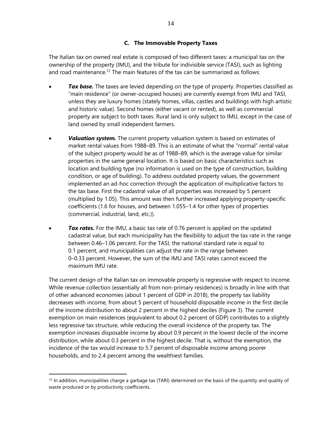#### **C. The Immovable Property Taxes**

The Italian tax on owned real estate is composed of two different taxes: a municipal tax on the ownership of the property (IMU), and the tribute for indivisible service (TASI), such as lighting and road maintenance.<sup>12</sup> The main features of the tax can be summarized as follows:

- **Tax base.** The taxes are levied depending on the type of property. Properties classified as "main residence" (or owner-occupied houses) are currently exempt from IMU and TASI, unless they are luxury homes (stately homes, villas, castles and buildings with high artistic and historic value). Second homes (either vacant or rented), as well as commercial property are subject to both taxes. Rural land is only subject to IMU, except in the case of land owned by small independent farmers.
- *Valuation system.* The current property valuation system is based on estimates of market rental values from 1988–89. This is an estimate of what the "normal" rental value of the subject property would be as of 1988–89, which is the average value for similar properties in the same general location. It is based on basic characteristics such as location and building type (no information is used on the type of construction, building condition, or age of building). To address outdated property values, the government implemented an ad-hoc correction through the application of multiplicative factors to the tax base. First the cadastral value of all properties was increased by 5 percent (multiplied by 1.05). This amount was then further increased applying property-specific coefficients (1.6 for houses, and between 1.055–1.4 for other types of properties (commercial, industrial, land, etc.)).
- *Tax rates.* For the IMU, a basic tax rate of 0.76 percent is applied on the updated cadastral value, but each municipality has the flexibility to adjust the tax rate in the range between 0.46–1.06 percent. For the TASI, the national standard rate is equal to 0.1 percent, and municipalities can adjust the rate in the range between 0–0.33 percent. However, the sum of the IMU and TASI rates cannot exceed the maximum IMU rate.

The current design of the Italian tax on immovable property is regressive with respect to income. While revenue collection (essentially all from non-primary residences) is broadly in line with that of other advanced economies (about 1 percent of GDP in 2018), the property tax liability decreases with income, from about 5 percent of household disposable income in the first decile of the income distribution to about 2 percent in the highest deciles (Figure 3). The current exemption on main residences (equivalent to about 0.2 percent of GDP) contributes to a slightly less regressive tax structure, while reducing the overall incidence of the property tax. The exemption increases disposable income by about 0.9 percent in the lowest decile of the income distribution, while about 0.3 percent in the highest decile. That is, without the exemption, the incidence of the tax would increase to 5.7 percent of disposable income among poorer households, and to 2.4 percent among the wealthiest families.

 $\overline{a}$ 

 $12$  In addition, municipalities charge a garbage tax (TARI) determined on the basis of the quantity and quality of waste produced or by productivity coefficients.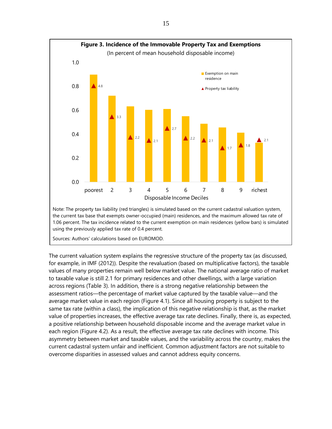

Sources: Authors' calculations based on EUROMOD.

The current valuation system explains the regressive structure of the property tax (as discussed, for example, in IMF (2012)). Despite the revaluation (based on multiplicative factors), the taxable values of many properties remain well below market value. The national average ratio of market to taxable value is still 2.1 for primary residences and other dwellings, with a large variation across regions (Table 3). In addition, there is a strong negative relationship between the assessment ratios—the percentage of market value captured by the taxable value—and the average market value in each region (Figure 4.1). Since all housing property is subject to the same tax rate (within a class), the implication of this negative relationship is that, as the market value of properties increases, the effective average tax rate declines. Finally, there is, as expected, a positive relationship between household disposable income and the average market value in each region (Figure 4.2). As a result, the effective average tax rate declines with income. This asymmetry between market and taxable values, and the variability across the country, makes the current cadastral system unfair and inefficient. Common adjustment factors are not suitable to overcome disparities in assessed values and cannot address equity concerns.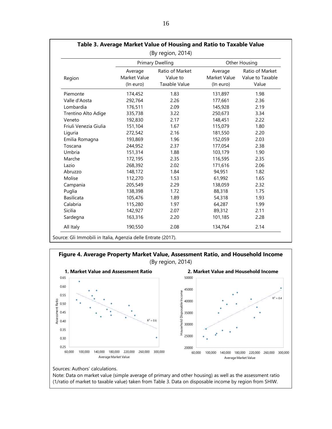| (By region, 2014)     |                                      |                                              |                                      |                                              |  |  |  |
|-----------------------|--------------------------------------|----------------------------------------------|--------------------------------------|----------------------------------------------|--|--|--|
|                       |                                      | <b>Primary Dwelling</b>                      | <b>Other Housing</b>                 |                                              |  |  |  |
| Region                | Average<br>Market Value<br>(In euro) | Ratio of Market<br>Value to<br>Taxable Value | Average<br>Market Value<br>(In euro) | Ratio of Market<br>Value to Taxable<br>Value |  |  |  |
| Piemonte              | 174,452                              | 1.83                                         | 131,897                              | 1.98                                         |  |  |  |
| Valle d'Aosta         | 292,764                              | 2.26                                         | 177,661                              | 2.36                                         |  |  |  |
| Lombardia             | 176,511                              | 2.09                                         | 145,928                              | 2.19                                         |  |  |  |
| Trentino Alto Adige   | 335,738                              | 3.22                                         | 250,673                              | 3.34                                         |  |  |  |
| Veneto                | 192,830                              | 2.17                                         | 148,451                              | 2.22                                         |  |  |  |
| Friuli Venezia Giulia | 151,104                              | 1.67                                         | 115,079                              | 1.80                                         |  |  |  |
| Liguria               | 272,542                              | 2.16                                         | 181,550                              | 2.20                                         |  |  |  |
| Emilia Romagna        | 193,869                              | 1.96                                         | 152,059                              | 2.03                                         |  |  |  |
| Toscana               | 244,952                              | 2.37                                         | 177,054                              | 2.38                                         |  |  |  |
| Umbria                | 151,314                              | 1.88                                         | 103,179                              | 1.90                                         |  |  |  |
| Marche                | 172,195                              | 2.35                                         | 116,595                              | 2.35                                         |  |  |  |
| Lazio                 | 268,392                              | 2.02                                         | 171,616                              | 2.06                                         |  |  |  |
| Abruzzo               | 148,172                              | 1.84                                         | 94,951                               | 1.82                                         |  |  |  |
| Molise                | 112,270                              | 1.53                                         | 61,992                               | 1.65                                         |  |  |  |
| Campania              | 205,549                              | 2.29                                         | 138,059                              | 2.32                                         |  |  |  |
| Puglia                | 138,398                              | 1.72                                         | 88,318                               | 1.75                                         |  |  |  |
| <b>Basilicata</b>     | 105,476                              | 1.89                                         | 54,318                               | 1.93                                         |  |  |  |
| Calabria              | 115,280                              | 1.97                                         | 64,287                               | 1.99                                         |  |  |  |
| Sicilia               | 142,927                              | 2.07                                         | 89,312                               | 2.11                                         |  |  |  |
| Sardegna              | 163,316                              | 2.20                                         | 101,185                              | 2.28                                         |  |  |  |
| All Italy             | 190,550                              | 2.08                                         | 134,764                              | 2.14                                         |  |  |  |





Sources: Authors' calculations.

Note: Data on market value (simple average of primary and other housing) as well as the assessment ratio (1/ratio of market to taxable value) taken from Table 3. Data on disposable income by region from SHIW.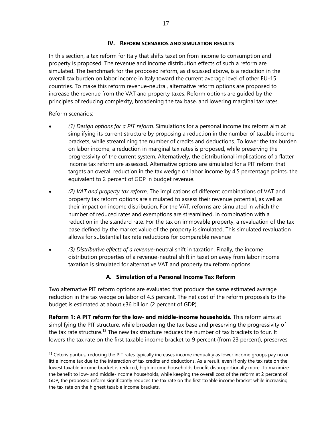#### **IV. REFORM SCENARIOS AND SIMULATION RESULTS**

In this section, a tax reform for Italy that shifts taxation from income to consumption and property is proposed. The revenue and income distribution effects of such a reform are simulated. The benchmark for the proposed reform, as discussed above, is a reduction in the overall tax burden on labor income in Italy toward the current average level of other EU-15 countries. To make this reform revenue-neutral, alternative reform options are proposed to increase the revenue from the VAT and property taxes. Reform options are guided by the principles of reducing complexity, broadening the tax base, and lowering marginal tax rates.

#### Reform scenarios:

 $\overline{a}$ 

- *(1) Design options for a PIT reform.* Simulations for a personal income tax reform aim at simplifying its current structure by proposing a reduction in the number of taxable income brackets, while streamlining the number of credits and deductions. To lower the tax burden on labor income, a reduction in marginal tax rates is proposed, while preserving the progressivity of the current system. Alternatively, the distributional implications of a flatter income tax reform are assessed. Alternative options are simulated for a PIT reform that targets an overall reduction in the tax wedge on labor income by 4.5 percentage points, the equivalent to 2 percent of GDP in budget revenue.
- *(2) VAT and property tax reform*. The implications of different combinations of VAT and property tax reform options are simulated to assess their revenue potential, as well as their impact on income distribution. For the VAT, reforms are simulated in which the number of reduced rates and exemptions are streamlined, in combination with a reduction in the standard rate. For the tax on immovable property, a revaluation of the tax base defined by the market value of the property is simulated. This simulated revaluation allows for substantial tax rate reductions for comparable revenue
- *(3) Distributive effects of a revenue*-neutral shift in taxation. Finally, the income distribution properties of a revenue-neutral shift in taxation away from labor income taxation is simulated for alternative VAT and property tax reform options.

#### **A. Simulation of a Personal Income Tax Reform**

Two alternative PIT reform options are evaluated that produce the same estimated average reduction in the tax wedge on labor of 4.5 percent. The net cost of the reform proposals to the budget is estimated at about €36 billion (2 percent of GDP).

**Reform 1: A PIT reform for the low- and middle-income households.** This reform aims at simplifying the PIT structure, while broadening the tax base and preserving the progressivity of the tax rate structure.<sup>13</sup> The new tax structure reduces the number of tax brackets to four. It lowers the tax rate on the first taxable income bracket to 9 percent (from 23 percent), preserves

 $<sup>13</sup>$  Ceteris paribus, reducing the PIT rates typically increases income inequality as lower income groups pay no or</sup> little income tax due to the interaction of tax credits and deductions. As a result, even if only the tax rate on the lowest taxable income bracket is reduced, high income households benefit disproportionally more. To maximize the benefit to low- and middle-income households, while keeping the overall cost of the reform at 2 percent of GDP, the proposed reform significantly reduces the tax rate on the first taxable income bracket while increasing the tax rate on the highest taxable income brackets.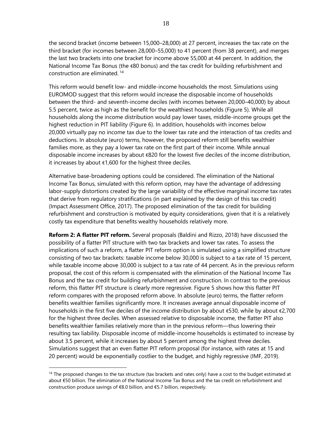the second bracket (income between 15,000–28,000) at 27 percent, increases the tax rate on the third bracket (for incomes between 28,000–55,000) to 41 percent (from 38 percent), and merges the last two brackets into one bracket for income above 55,000 at 44 percent. In addition, the National Income Tax Bonus (the €80 bonus) and the tax credit for building refurbishment and construction are eliminated. <sup>14</sup>

This reform would benefit low- and middle-income households the most. Simulations using EUROMOD suggest that this reform would increase the disposable income of households between the third- and seventh-income deciles (with incomes between 20,000–40,000) by about 5.5 percent, twice as high as the benefit for the wealthiest households (Figure 5). While all households along the income distribution would pay lower taxes, middle-income groups get the highest reduction in PIT liability (Figure 6). In addition, households with incomes below 20,000 virtually pay no income tax due to the lower tax rate and the interaction of tax credits and deductions. In absolute (euro) terms, however, the proposed reform still benefits wealthier families more, as they pay a lower tax rate on the first part of their income. While annual disposable income increases by about €820 for the lowest five deciles of the income distribution, it increases by about €1,600 for the highest three deciles.

Alternative base-broadening options could be considered. The elimination of the National Income Tax Bonus, simulated with this reform option, may have the advantage of addressing labor-supply distortions created by the large variability of the effective marginal income tax rates that derive from regulatory stratifications (in part explained by the design of this tax credit) (Impact Assessment Office, 2017). The proposed elimination of the tax credit for building refurbishment and construction is motivated by equity considerations, given that it is a relatively costly tax expenditure that benefits wealthy households relatively more.

**Reform 2: A flatter PIT reform.** Several proposals (Baldini and Rizzo, 2018) have discussed the possibility of a flatter PIT structure with two tax brackets and lower tax rates. To assess the implications of such a reform, a flatter PIT reform option is simulated using a simplified structure consisting of two tax brackets: taxable income below 30,000 is subject to a tax rate of 15 percent, while taxable income above 30,000 is subject to a tax rate of 44 percent. As in the previous reform proposal, the cost of this reform is compensated with the elimination of the National Income Tax Bonus and the tax credit for building refurbishment and construction. In contrast to the previous reform, this flatter PIT structure is clearly more regressive. Figure 5 shows how this flatter PIT reform compares with the proposed reform above. In absolute (euro) terms, the flatter reform benefits wealthier families significantly more. It increases average annual disposable income of households in the first five deciles of the income distribution by about €530, while by about €2,700 for the highest three deciles. When assessed relative to disposable income, the flatter PIT also benefits wealthier families relatively more than in the previous reform—thus lowering their resulting tax liability. Disposable income of middle-income households is estimated to increase by about 3.5 percent, while it increases by about 5 percent among the highest three deciles. Simulations suggest that an even flatter PIT reform proposal (for instance, with rates at 15 and 20 percent) would be exponentially costlier to the budget, and highly regressive (IMF, 2019).

 $\overline{a}$ 

<sup>&</sup>lt;sup>14</sup> The proposed changes to the tax structure (tax brackets and rates only) have a cost to the budget estimated at about €50 billion. The elimination of the National Income Tax Bonus and the tax credit on refurbishment and construction produce savings of €8.0 billion, and €5.7 billion, respectively.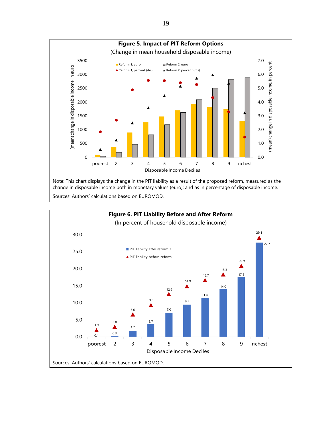

change in disposable income both in monetary values (euro); and as in percentage of disposable income. Sources: Authors' calculations based on EUROMOD.



19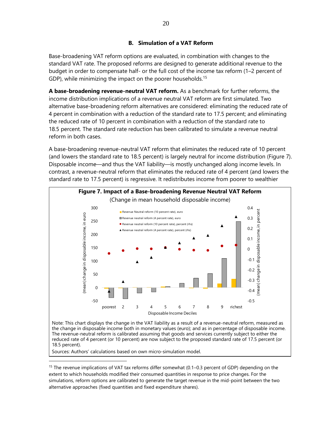#### **B. Simulation of a VAT Reform**

Base-broadening VAT reform options are evaluated, in combination with changes to the standard VAT rate. The proposed reforms are designed to generate additional revenue to the budget in order to compensate half- or the full cost of the income tax reform (1–2 percent of GDP), while minimizing the impact on the poorer households.<sup>15</sup>

**A base-broadening revenue-neutral VAT reform.** As a benchmark for further reforms, the income distribution implications of a revenue neutral VAT reform are first simulated. Two alternative base-broadening reform alternatives are considered: eliminating the reduced rate of 4 percent in combination with a reduction of the standard rate to 17.5 percent; and eliminating the reduced rate of 10 percent in combination with a reduction of the standard rate to 18.5 percent. The standard rate reduction has been calibrated to simulate a revenue neutral reform in both cases.

A base-broadening revenue-neutral VAT reform that eliminates the reduced rate of 10 percent (and lowers the standard rate to 18.5 percent) is largely neutral for income distribution (Figure 7). Disposable income—and thus the VAT liability—is mostly unchanged along income levels. In contrast, a revenue-neutral reform that eliminates the reduced rate of 4 percent (and lowers the standard rate to 17.5 percent) is regressive. It redistributes income from poorer to wealthier



Note: This chart displays the change in the VAT liability as a result of a revenue-neutral reform, measured as the change in disposable income both in monetary values (euro); and as in percentage of disposable income. The revenue-neutral reform is calibrated assuming that goods and services currently subject to either the reduced rate of 4 percent (or 10 percent) are now subject to the proposed standard rate of 17.5 percent (or 18.5 percent).

Sources: Authors' calculations based on own micro-simulation model.

 $\overline{a}$ 

<sup>&</sup>lt;sup>15</sup> The revenue implications of VAT tax reforms differ somewhat (0.1–0.3 percent of GDP) depending on the extent to which households modified their consumed quantities in response to price changes. For the simulations, reform options are calibrated to generate the target revenue in the mid-point between the two alternative approaches (fixed quantities and fixed expenditure shares).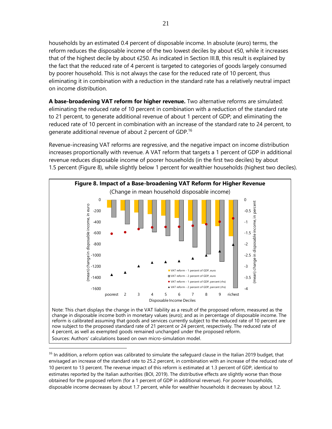households by an estimated 0.4 percent of disposable income. In absolute (euro) terms, the reform reduces the disposable income of the two lowest deciles by about €50, while it increases that of the highest decile by about €250. As indicated in Section III.B, this result is explained by the fact that the reduced rate of 4 percent is targeted to categories of goods largely consumed by poorer household. This is not always the case for the reduced rate of 10 percent, thus eliminating it in combination with a reduction in the standard rate has a relatively neutral impact on income distribution.

**A base-broadening VAT reform for higher revenue.** Two alternative reforms are simulated: eliminating the reduced rate of 10 percent in combination with a reduction of the standard rate to 21 percent, to generate additional revenue of about 1 percent of GDP; and eliminating the reduced rate of 10 percent in combination with an increase of the standard rate to 24 percent, to generate additional revenue of about 2 percent of GDP.<sup>16</sup>

Revenue-increasing VAT reforms are regressive, and the negative impact on income distribution increases proportionally with revenue. A VAT reform that targets a 1 percent of GDP in additional revenue reduces disposable income of poorer households (in the first two deciles) by about 1.5 percent (Figure 8), while slightly below 1 percent for wealthier households (highest two deciles).



Sources: Authors' calculations based on own micro-simulation model.

 $\overline{a}$ 

<sup>16</sup> In addition, a reform option was calibrated to simulate the safeguard clause in the Italian 2019 budget, that envisaged an increase of the standard rate to 25.2 percent, in combination with an increase of the reduced rate of 10 percent to 13 percent. The revenue impact of this reform is estimated at 1.3 percent of GDP, identical to estimates reported by the Italian authorities (BOI, 2019). The distributive effects are slightly worse than those obtained for the proposed reform (for a 1 percent of GDP in additional revenue). For poorer households, disposable income decreases by about 1.7 percent, while for wealthier households it decreases by about 1.2.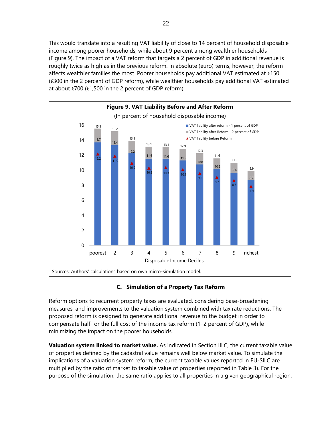This would translate into a resulting VAT liability of close to 14 percent of household disposable income among poorer households, while about 9 percent among wealthier households (Figure 9). The impact of a VAT reform that targets a 2 percent of GDP in additional revenue is roughly twice as high as in the previous reform. In absolute (euro) terms, however, the reform affects wealthier families the most. Poorer households pay additional VAT estimated at €150 (€300 in the 2 percent of GDP reform), while wealthier households pay additional VAT estimated at about €700 (€1,500 in the 2 percent of GDP reform).



#### **C. Simulation of a Property Tax Reform**

Reform options to recurrent property taxes are evaluated, considering base-broadening measures, and improvements to the valuation system combined with tax rate reductions. The proposed reform is designed to generate additional revenue to the budget in order to compensate half- or the full cost of the income tax reform (1–2 percent of GDP), while minimizing the impact on the poorer households.

**Valuation system linked to market value.** As indicated in Section III.C, the current taxable value of properties defined by the cadastral value remains well below market value. To simulate the implications of a valuation system reform, the current taxable values reported in EU-SILC are multiplied by the ratio of market to taxable value of properties (reported in Table 3). For the purpose of the simulation, the same ratio applies to all properties in a given geographical region.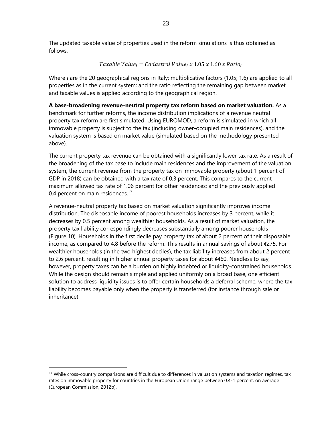The updated taxable value of properties used in the reform simulations is thus obtained as follows:

$$
Taxable\ Value_{i}=Cadastral\ Value_{i}\ x\ 1.05\ x\ 1.60\ x\ Ratio_{i}
$$

Where *i* are the 20 geographical regions in Italy; multiplicative factors (1.05; 1.6) are applied to all properties as in the current system; and the ratio reflecting the remaining gap between market and taxable values is applied according to the geographical region.

**A base-broadening revenue-neutral property tax reform based on market valuation.** As a benchmark for further reforms, the income distribution implications of a revenue neutral property tax reform are first simulated. Using EUROMOD, a reform is simulated in which all immovable property is subject to the tax (including owner-occupied main residences), and the valuation system is based on market value (simulated based on the methodology presented above).

The current property tax revenue can be obtained with a significantly lower tax rate. As a result of the broadening of the tax base to include main residences and the improvement of the valuation system, the current revenue from the property tax on immovable property (about 1 percent of GDP in 2018) can be obtained with a tax rate of 0.3 percent. This compares to the current maximum allowed tax rate of 1.06 percent for other residences; and the previously applied 0.4 percent on main residences.<sup>17</sup>

A revenue-neutral property tax based on market valuation significantly improves income distribution. The disposable income of poorest households increases by 3 percent, while it decreases by 0.5 percent among wealthier households. As a result of market valuation, the property tax liability correspondingly decreases substantially among poorer households (Figure 10). Households in the first decile pay property tax of about 2 percent of their disposable income, as compared to 4.8 before the reform. This results in annual savings of about €275. For wealthier households (in the two highest deciles), the tax liability increases from about 2 percent to 2.6 percent, resulting in higher annual property taxes for about €460. Needless to say, however, property taxes can be a burden on highly indebted or liquidity-constrained households. While the design should remain simple and applied uniformly on a broad base, one efficient solution to address liquidity issues is to offer certain households a deferral scheme, where the tax liability becomes payable only when the property is transferred (for instance through sale or inheritance).

<sup>&</sup>lt;sup>17</sup> While cross-country comparisons are difficult due to differences in valuation systems and taxation regimes, tax rates on immovable property for countries in the European Union range between 0.4-1 percent, on average (European Commission, 2012b).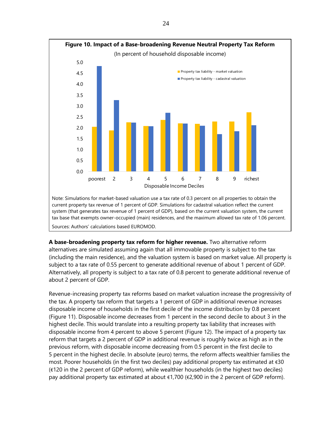

**A base-broadening property tax reform for higher revenue.** Two alternative reform alternatives are simulated assuming again that all immovable property is subject to the tax (including the main residence), and the valuation system is based on market value. All property is subject to a tax rate of 0.55 percent to generate additional revenue of about 1 percent of GDP. Alternatively, all property is subject to a tax rate of 0.8 percent to generate additional revenue of about 2 percent of GDP.

Revenue-increasing property tax reforms based on market valuation increase the progressivity of the tax. A property tax reform that targets a 1 percent of GDP in additional revenue increases disposable income of households in the first decile of the income distribution by 0.8 percent (Figure 11). Disposable income decreases from 1 percent in the second decile to about 3 in the highest decile. This would translate into a resulting property tax liability that increases with disposable income from 4 percent to above 5 percent (Figure 12). The impact of a property tax reform that targets a 2 percent of GDP in additional revenue is roughly twice as high as in the previous reform, with disposable income decreasing from 0.5 percent in the first decile to 5 percent in the highest decile. In absolute (euro) terms, the reform affects wealthier families the most. Poorer households (in the first two deciles) pay additional property tax estimated at €30 (€120 in the 2 percent of GDP reform), while wealthier households (in the highest two deciles) pay additional property tax estimated at about €1,700 (€2,900 in the 2 percent of GDP reform).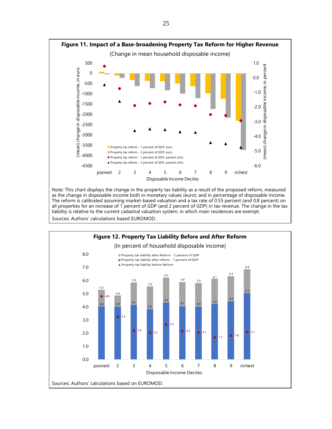

Note: This chart displays the change in the property tax liability as a result of the proposed reform, measured as the change in disposable income both in monetary values (euro); and in percentage of disposable income. The reform is calibrated assuming market-based valuation and a tax rate of 0.55 percent (and 0.8 percent) on all properties for an increase of 1 percent of GDP (and 2 percent of GDP) in tax revenue. The change in the tax liability is relative to the current cadastral valuation system, in which main residences are exempt. Sources: Authors' calculations based EUROMOD.

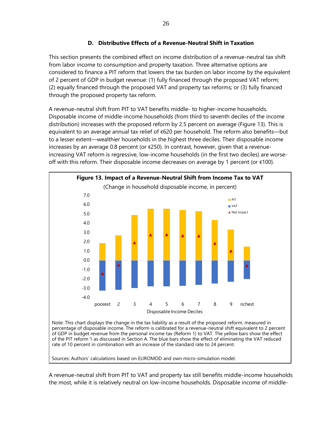### **D. Distributive Effects of a Revenue-Neutral Shift in Taxation**

This section presents the combined effect on income distribution of a revenue-neutral tax shift from labor income to consumption and property taxation. Three alternative options are considered to finance a PIT reform that lowers the tax burden on labor income by the equivalent of 2 percent of GDP in budget revenue: (1) fully financed through the proposed VAT reform; (2) equally financed through the proposed VAT and property tax reforms; or (3) fully financed through the proposed property tax reform.

A revenue-neutral shift from PIT to VAT benefits middle- to higher-income households. Disposable income of middle-income households (from third to seventh deciles of the income distribution) increases with the proposed reform by 2.5 percent on average (Figure 13). This is equivalent to an average annual tax relief of €620 per household. The reform also benefits—but to a lesser extent—wealthier households in the highest three deciles. Their disposable income increases by an average 0.8 percent (or  $\epsilon$ 250). In contrast, however, given that a revenueincreasing VAT reform is regressive, low-income households (in the first two deciles) are worseoff with this reform. Their disposable income decreases on average by 1 percent (or €100).



percentage of disposable income. The reform is calibrated for a revenue-neutral shift equivalent to 2 percent of GDP in budget revenue from the personal income tax (Reform 1) to VAT. The yellow bars show the effect of the PIT reform 1 as discussed in Section A. The blue bars show the effect of eliminating the VAT reduced rate of 10 percent in combination with an increase of the standard rate to 24 percent.

Sources: Authors' calculations based on EUROMOD and own micro-simulation model.

A revenue-neutral shift from PIT to VAT and property tax still benefits middle-income households the most, while it is relatively neutral on low-income households. Disposable income of middle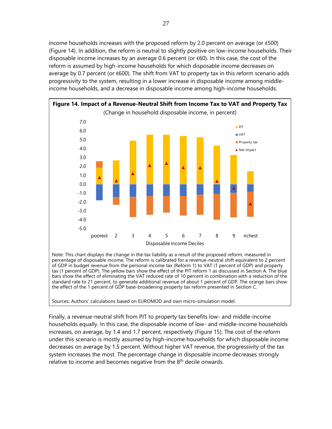income households increases with the proposed reform by 2.0 percent on average (or  $\epsilon$ 500) (Figure 14). In addition, the reform is neutral to slightly positive on low-income households. Their disposable income increases by an average 0.6 percent (or  $\epsilon$ 60). In this case, the cost of the reform is assumed by high-income households for which disposable income decreases on average by 0.7 percent (or €600). The shift from VAT to property tax in this reform scenario adds progressivity to the system, resulting in a lower increase in disposable income among middleincome households, and a decrease in disposable income among high-income households.



Note: This chart displays the change in the tax liability as a result of the proposed reform, measured in percentage of disposable income. The reform is calibrated for a revenue-neutral shift equivalent to 2 percent of GDP in budget revenue from the personal income tax (Reform 1) to VAT (1 percent of GDP) and property tax (1 percent of GDP). The yellow bars show the effect of the PIT reform 1 as discussed in Section A. The blue bars show the effect of eliminating the VAT reduced rate of 10 percent in combination with a reduction of the standard rate to 21 percent, to generate additional revenue of about 1 percent of GDP. The orange bars show the effect of the 1 percent of GDP base-broadening property tax reform presented in Section C.

Sources: Authors' calculations based on EUROMOD and own micro-simulation model.

Finally, a revenue-neutral shift from PIT to property tax benefits low- and middle-income households equally. In this case, the disposable income of low- and middle-income households increases, on average, by 1.4 and 1.7 percent, respectively (Figure 15). The cost of the reform under this scenario is mostly assumed by high-income households for which disposable income decreases on average by 1.5 percent. Without higher VAT revenue, the progressivity of the tax system increases the most. The percentage change in disposable income decreases strongly relative to income and becomes negative from the  $8<sup>th</sup>$  decile onwards.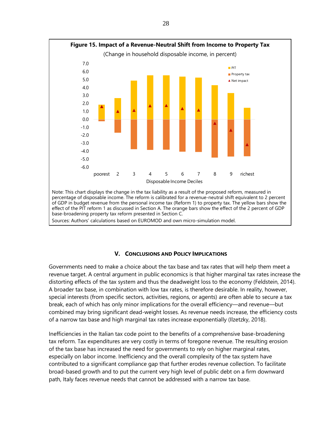

Sources: Authors' calculations based on EUROMOD and own micro-simulation model.

#### **V. CONCLUSIONS AND POLICY IMPLICATIONS**

Governments need to make a choice about the tax base and tax rates that will help them meet a revenue target. A central argument in public economics is that higher marginal tax rates increase the distorting effects of the tax system and thus the deadweight loss to the economy (Feldstein, 2014). A broader tax base, in combination with low tax rates, is therefore desirable. In reality, however, special interests (from specific sectors, activities, regions, or agents) are often able to secure a tax break, each of which has only minor implications for the overall efficiency—and revenue—but combined may bring significant dead-weight losses. As revenue needs increase, the efficiency costs of a narrow tax base and high marginal tax rates increase exponentially (Ilzetzky, 2018).

Inefficiencies in the Italian tax code point to the benefits of a comprehensive base-broadening tax reform. Tax expenditures are very costly in terms of foregone revenue. The resulting erosion of the tax base has increased the need for governments to rely on higher marginal rates, especially on labor income. Inefficiency and the overall complexity of the tax system have contributed to a significant compliance gap that further erodes revenue collection. To facilitate broad-based growth and to put the current very high level of public debt on a firm downward path, Italy faces revenue needs that cannot be addressed with a narrow tax base.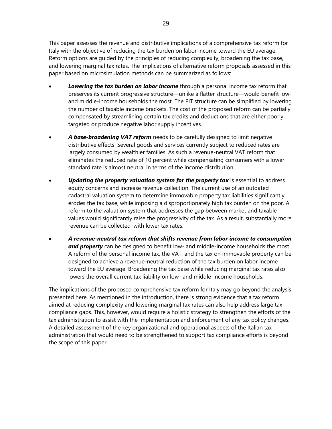This paper assesses the revenue and distributive implications of a comprehensive tax reform for Italy with the objective of reducing the tax burden on labor income toward the EU average. Reform options are guided by the principles of reducing complexity, broadening the tax base, and lowering marginal tax rates. The implications of alternative reform proposals assessed in this paper based on microsimulation methods can be summarized as follows:

- **Lowering the tax burden on labor income** through a personal income tax reform that preserves its current progressive structure—unlike a flatter structure—would benefit lowand middle-income households the most. The PIT structure can be simplified by lowering the number of taxable income brackets. The cost of the proposed reform can be partially compensated by streamlining certain tax credits and deductions that are either poorly targeted or produce negative labor supply incentives.
- *A base-broadening VAT reform* needs to be carefully designed to limit negative distributive effects. Several goods and services currently subject to reduced rates are largely consumed by wealthier families. As such a revenue-neutral VAT reform that eliminates the reduced rate of 10 percent while compensating consumers with a lower standard rate is almost neutral in terms of the income distribution.
- *Updating the property valuation system for the property tax* is essential to address equity concerns and increase revenue collection. The current use of an outdated cadastral valuation system to determine immovable property tax liabilities significantly erodes the tax base, while imposing a disproportionately high tax burden on the poor. A reform to the valuation system that addresses the gap between market and taxable values would significantly raise the progressivity of the tax. As a result, substantially more revenue can be collected, with lower tax rates.
- *A revenue-neutral tax reform that shifts revenue from labor income to consumption and property* can be designed to benefit low- and middle-income households the most. A reform of the personal income tax, the VAT, and the tax on immovable property can be designed to achieve a revenue-neutral reduction of the tax burden on labor income toward the EU average. Broadening the tax base while reducing marginal tax rates also lowers the overall current tax liability on low- and middle-income households.

The implications of the proposed comprehensive tax reform for Italy may go beyond the analysis presented here. As mentioned in the introduction, there is strong evidence that a tax reform aimed at reducing complexity and lowering marginal tax rates can also help address large tax compliance gaps. This, however, would require a holistic strategy to strengthen the efforts of the tax administration to assist with the implementation and enforcement of any tax policy changes. A detailed assessment of the key organizational and operational aspects of the Italian tax administration that would need to be strengthened to support tax compliance efforts is beyond the scope of this paper.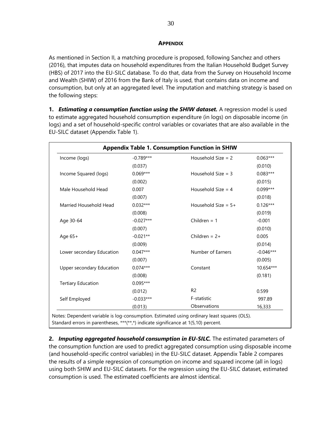#### **APPENDIX**

As mentioned in Section II, a matching procedure is proposed, following Sanchez and others (2016), that imputes data on household expenditures from the Italian Household Budget Survey (HBS) of 2017 into the EU-SILC database. To do that, data from the Survey on Household Income and Wealth (SHIW) of 2016 from the Bank of Italy is used, that contains data on income and consumption, but only at an aggregated level. The imputation and matching strategy is based on the following steps:

**1.** *Estimating a consumption function using the SHIW dataset.* A regression model is used to estimate aggregated household consumption expenditure (in logs) on disposable income (in logs) and a set of household-specific control variables or covariates that are also available in the EU-SILC dataset (Appendix Table 1).

| Income (logs)             | $-0.789***$ | Household Size $= 2$  | $0.063***$  |
|---------------------------|-------------|-----------------------|-------------|
|                           | (0.037)     |                       | (0.010)     |
| Income Squared (logs)     | $0.069***$  | Household $Size = 3$  | $0.083***$  |
|                           | (0.002)     |                       | (0.015)     |
| Male Household Head       | 0.007       | Household Size $=$ 4  | $0.099***$  |
|                           | (0.007)     |                       | (0.018)     |
| Married Household Head    | $0.032***$  | Household Size = $5+$ | $0.126***$  |
|                           | (0.008)     |                       | (0.019)     |
| Age 30-64                 | $-0.027***$ | Children = $1$        | $-0.001$    |
|                           | (0.007)     |                       | (0.010)     |
| Age $65+$                 | $-0.021**$  | Children = $2+$       | 0.005       |
|                           | (0.009)     |                       | (0.014)     |
| Lower secondary Education | $0.047***$  | Number of Earners     | $-0.046***$ |
|                           | (0.007)     |                       | (0.005)     |
| Upper secondary Education | $0.074***$  | Constant              | 10.654***   |
|                           | (0.008)     |                       | (0.181)     |
| <b>Tertiary Education</b> | $0.095***$  |                       |             |
|                           | (0.012)     | R <sub>2</sub>        | 0.599       |
| Self Employed             | $-0.033***$ | F-statistic           | 997.89      |
|                           | (0.013)     | Observations          | 16,333      |

Standard errors in parentheses, \*\*\*(\*\*,\*) indicate significance at 1(5,10) percent.

**2.** *Imputing aggregated household consumption in EU-SILC.* The estimated parameters of the consumption function are used to predict aggregated consumption using disposable income (and household-specific control variables) in the EU-SILC dataset. Appendix Table 2 compares the results of a simple regression of consumption on income and squared income (all in logs) using both SHIW and EU-SILC datasets. For the regression using the EU-SILC dataset, estimated consumption is used. The estimated coefficients are almost identical.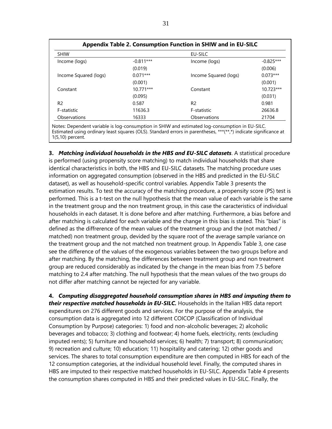| <b>SHIW</b>           |             | EU-SILC               |             |
|-----------------------|-------------|-----------------------|-------------|
| Income (logs)         | $-0.811***$ | Income (logs)         | $-0.825***$ |
|                       | (0.019)     |                       | (0.006)     |
| Income Squared (logs) | $0.071***$  | Income Squared (logs) | $0.073***$  |
|                       | (0.001)     |                       | (0.001)     |
| Constant              | $10.771***$ | Constant              | $10.723***$ |
|                       | (0.095)     |                       | (0.031)     |
| R <sub>2</sub>        | 0.587       | R <sub>2</sub>        | 0.981       |
| F-statistic           | 11636.3     | F-statistic           | 26636.8     |
| Observations          | 16333       | Observations          | 21704       |

Notes: Dependent variable is log-consumption in SHIW and estimated log-consumption in EU-SILC. Estimated using ordinary least squares (OLS). Standard errors in parentheses, \*\*\*(\*\*,\*) indicate significance at 1(5,10) percent.

**3.** *Matching individual households in the HBS and EU-SILC datasets*. A statistical procedure is performed (using propensity score matching) to match individual households that share identical characteristics in both, the HBS and EU-SILC datasets. The matching procedure uses information on aggregated consumption (observed in the HBS and predicted in the EU-SILC dataset), as well as household-specific control variables. Appendix Table 3 presents the estimation results. To test the accuracy of the matching procedure, a propensity score (PS) test is performed. This is a t-test on the null hypothesis that the mean value of each variable is the same in the treatment group and the non treatment group, in this case the caracteristics of individual households in each dataset. It is done before and after matching. Furthermore, a bias before and after matching is calculated for each variable and the change in this bias is stated. This "bias" is defined as the diffrerence of the mean values of the treatment group and the (not matched / matched) non treatment group, devided by the square root of the average sample variance on the treatment group and the not matched non treatment group. In Appendix Table 3, one case see the difference of the values of the exogenous variables between the two groups before and after matching. By the matching, the differences between treatment group and non treatment group are reduced considerably as indicated by the change in the mean bias from 7.5 before matching to 2.4 after matching. The null hypothesis that the mean values of the two groups do not differ after matching cannot be rejected for any variable.

**4.** *Computing disaggregated household consumption shares in HBS and imputing them to their respective matched households in EU-SILC.* Households in the Italian HBS data report expenditures on 276 different goods and services. For the purpose of the analysis, the consumption data is aggregated into 12 different COICOP (Classification of Individual Consumption by Purpose) categories: 1) food and non-alcoholic beverages; 2) alcoholic beverages and tobacco; 3) clothing and footwear; 4) home fuels, electricity, rents (excluding imputed rents); 5) furniture and household services; 6) health; 7) transport; 8) communication; 9) recreation and culture; 10) education; 11) hospitality and catering; 12) other goods and services. The shares to total consumption expenditure are then computed in HBS for each of the 12 consumption categories, at the individual household level. Finally, the computed shares in HBS are imputed to their respective matched households in EU-SILC. Appendix Table 4 presents the consumption shares computed in HBS and their predicted values in EU-SILC. Finally, the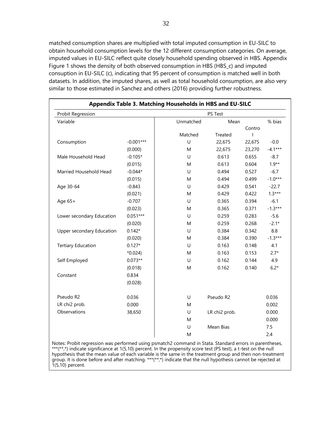matched consumption shares are multiplied with total imputed consumption in EU-SILC to obtain household consumption levels for the 12 different consumption categories. On average, imputed values in EU-SILC reflect quite closely household spending observed in HBS. Appendix Figure 1 shows the density of both observed consumption in HBS (HBS\_c) and imputed consuption in EU-SILC (c), indicating that 95 percent of consumption is matched well in both datasets. In addition, the imputed shares, as well as total household consumption, are also very similar to those estimated in Sanchez and others (2016) providing further robustness.

| Probit Regression         |             |           | PS Test       |        |           |
|---------------------------|-------------|-----------|---------------|--------|-----------|
| Variable                  |             | Unmatched | Mean          |        | % bias    |
|                           |             |           |               | Contro |           |
|                           |             | Matched   | Treated       | ı      |           |
| Consumption               | $-0.001***$ | U         | 22,675        | 22,675 | $-0.0$    |
|                           | (0.000)     | M         | 22,675        | 23,270 | $-4.1***$ |
| Male Household Head       | $-0.105*$   | U         | 0.613         | 0.655  | $-8.7$    |
|                           | (0.015)     | M         | 0.613         | 0.604  | $1.9**$   |
| Married Household Head    | $-0.044*$   | $\cup$    | 0.494         | 0.527  | $-6.7$    |
|                           | (0.015)     | M         | 0.494         | 0.499  | $-1.0***$ |
| Age 30-64                 | $-0.843$    | $\cup$    | 0.429         | 0.541  | $-22.7$   |
|                           | (0.021)     | M         | 0.429         | 0.422  | $1.3***$  |
| Age 65+                   | $-0.707$    | U         | 0.365         | 0.394  | $-6.1$    |
|                           | (0.023)     | M         | 0.365         | 0.371  | $-1.3***$ |
| Lower secondary Education | $0.051***$  | U         | 0.259         | 0.283  | $-5.6$    |
|                           | (0.020)     | M         | 0.259         | 0.268  | $-2.1*$   |
| Upper secondary Education | $0.142*$    | $\cup$    | 0.384         | 0.342  | 8.8       |
|                           | (0.020)     | M         | 0.384         | 0.390  | $-1.3***$ |
| <b>Tertiary Education</b> | $0.127*$    | $\cup$    | 0.163         | 0.148  | 4.1       |
|                           | $*0.024$    | M         | 0.163         | 0.153  | $2.7*$    |
| Self Employed             | $0.073**$   | $\cup$    | 0.162         | 0.144  | 4.9       |
|                           | (0.018)     | M         | 0.162         | 0.140  | $6.2*$    |
| Constant                  | 0.834       |           |               |        |           |
|                           | (0.028)     |           |               |        |           |
|                           |             |           |               |        |           |
| Pseudo R2                 | 0.036       | U         | Pseudo R2     |        | 0.036     |
| LR chi2 prob.             | 0.000       | M         |               |        | 0.002     |
| Observations              | 38,650      | U         | LR chi2 prob. |        | 0.000     |
|                           |             | M         |               |        | 0.000     |
|                           |             | U         | Mean Bias     |        | 7.5       |
|                           |             | M         |               |        | 2.4       |

Notes: Probit regression was performed using psmatch2 command in Stata. Standard errors in parentheses, \*\*\*(\*\*,\*) indicate significance at 1(5,10) percent. In the propensity score test (PS test), a t-test on the null hypothesis that the mean value of each variable is the same in the treatment group and then non-treatment group. It is done before and after matching. \*\*\*(\*\*,\*) indicate that the null hypothesis cannot be rejected at 1(5,10) percent.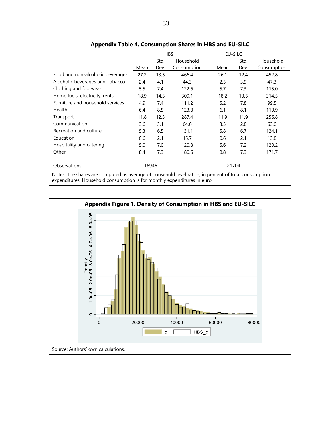| Appendix Table 4. Consumption Shares in HBS and EU-SILC                                              |            |              |                          |      |              |                          |  |  |
|------------------------------------------------------------------------------------------------------|------------|--------------|--------------------------|------|--------------|--------------------------|--|--|
|                                                                                                      | <b>HBS</b> |              |                          |      | EU-SILC      |                          |  |  |
|                                                                                                      | Mean       | Std.<br>Dev. | Household<br>Consumption | Mean | Std.<br>Dev. | Household<br>Consumption |  |  |
| Food and non-alcoholic beverages                                                                     | 27.2       | 13.5         | 466.4                    | 26.1 | 12.4         | 452.8                    |  |  |
| Alcoholic beverages and Tobacco                                                                      | 2.4        | 4.1          | 44.3                     | 2.5  | 3.9          | 47.3                     |  |  |
| Clothing and footwear                                                                                | 5.5        | 7.4          | 122.6                    | 5.7  | 7.3          | 115.0                    |  |  |
| Home fuels, electricity, rents                                                                       | 18.9       | 14.3         | 309.1                    | 18.2 | 13.5         | 314.5                    |  |  |
| Furniture and household services                                                                     | 4.9        | 7.4          | 111.2                    | 5.2  | 7.8          | 99.5                     |  |  |
| Health                                                                                               | 6.4        | 8.5          | 123.8                    | 6.1  | 8.1          | 110.9                    |  |  |
| Transport                                                                                            | 11.8       | 12.3         | 287.4                    | 11.9 | 11.9         | 256.8                    |  |  |
| Communication                                                                                        | 3.6        | 3.1          | 64.0                     | 3.5  | 2.8          | 63.0                     |  |  |
| Recreation and culture                                                                               | 5.3        | 6.5          | 131.1                    | 5.8  | 6.7          | 124.1                    |  |  |
| Education                                                                                            | 0.6        | 2.1          | 15.7                     | 0.6  | 2.1          | 13.8                     |  |  |
| Hospitality and catering                                                                             | 5.0        | 7.0          | 120.8                    | 5.6  | 7.2          | 120.2                    |  |  |
| Other                                                                                                | 8.4        | 7.3          | 180.6                    | 8.8  | 7.3          | 171.7                    |  |  |
| Observations                                                                                         | 16946      |              |                          |      | 21704        |                          |  |  |
| Notes: The shares are computed as average of household level ratios, in percent of total consumption |            |              |                          |      |              |                          |  |  |

expenditures. Household consumption is for monthly expenditures in euro.

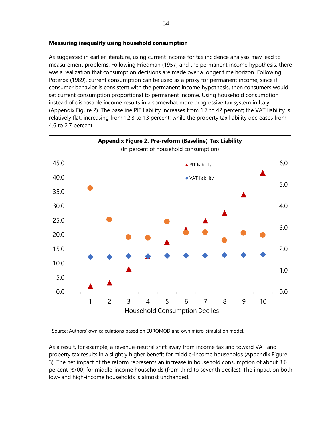#### **Measuring inequality using household consumption**

As suggested in earlier literature, using current income for tax incidence analysis may lead to measurement problems. Following Friedman (1957) and the permanent income hypothesis, there was a realization that consumption decisions are made over a longer time horizon. Following Poterba (1989), current consumption can be used as a proxy for permanent income, since if consumer behavior is consistent with the permanent income hypothesis, then consumers would set current consumption proportional to permanent income. Using household consumption instead of disposable income results in a somewhat more progressive tax system in Italy (Appendix Figure 2). The baseline PIT liability increases from 1.7 to 42 percent; the VAT liability is relatively flat, increasing from 12.3 to 13 percent; while the property tax liability decreases from 4.6 to 2.7 percent.



As a result, for example, a revenue-neutral shift away from income tax and toward VAT and property tax results in a slightly higher benefit for middle-income households (Appendix Figure 3). The net impact of the reform represents an increase in household consumption of about 3.6 percent (€700) for middle-income households (from third to seventh deciles). The impact on both low- and high-income households is almost unchanged.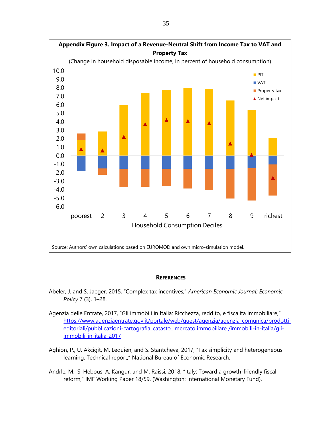

#### **REFERENCES**

- Abeler, J. and S. Jaeger, 2015, "Complex tax incentives," *American Economic Journal: Economic Policy* 7 (3), 1–28.
- Agenzia delle Entrate, 2017, "Gli immobili in Italia: Ricchezza, reddito, e fiscalita immobiliare," [https://www.agenziaentrate.gov.it/portale/web/guest/agenzia/agenzia-comunica/prodotti](https://www.agenziaentrate.gov.it/portale/web/guest/agenzia/agenzia-comunica/prodotti-editoriali/pubblicazioni-cartografia_catasto_%20mercato%20immobiliare%20/immobili-in-italia/gli-immobili-in-italia-2017)[editoriali/pubblicazioni-cartografia\\_catasto\\_ mercato immobiliare /immobili-in-italia/gli](https://www.agenziaentrate.gov.it/portale/web/guest/agenzia/agenzia-comunica/prodotti-editoriali/pubblicazioni-cartografia_catasto_%20mercato%20immobiliare%20/immobili-in-italia/gli-immobili-in-italia-2017)[immobili-in-italia-2017](https://www.agenziaentrate.gov.it/portale/web/guest/agenzia/agenzia-comunica/prodotti-editoriali/pubblicazioni-cartografia_catasto_%20mercato%20immobiliare%20/immobili-in-italia/gli-immobili-in-italia-2017)
- Aghion, P., U. Akcigit, M. Lequien, and S. Stantcheva, 2017, "Tax simplicity and heterogeneous learning. Technical report," National Bureau of Economic Research.
- Andrle, M., S. Hebous, A. Kangur, and M. Raissi, 2018, "Italy: Toward a growth-friendly fiscal reform," IMF Working Paper 18/59, (Washington: International Monetary Fund).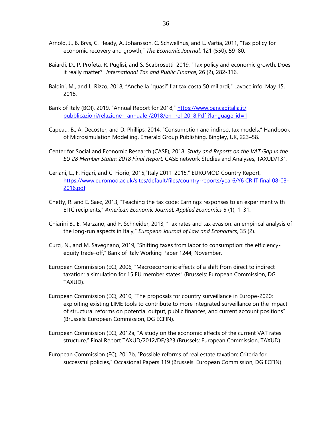- Arnold, J., B. Brys, C. Heady, A. Johansson, C. Schwellnus, and L. Vartia, 2011, "Tax policy for economic recovery and growth," *The Economic Journal*, 121 (550), 59–80.
- Baiardi, D., P. Profeta, R. Puglisi, and S. Scabrosetti, 2019, "Tax policy and economic growth: Does it really matter?" *International Tax and Public Finance*, 26 (2), 282-316.
- Baldini, M., and L. Rizzo, 2018, "Anche la "quasi" flat tax costa 50 miliardi," Lavoce.info. May 15, 2018.
- Bank of Italy (BOI), 2019, "Annual Report for 2018," [https://www.bancaditalia.it/](https://www.bancaditalia.it/%20pubblicazioni/relazione-%20%20annuale%20/2018/en_%20rel_2018.Pdf%20?language_id=1)  [pubblicazioni/relazione- annuale /2018/en\\_ rel\\_2018.Pdf ?language\\_id=1](https://www.bancaditalia.it/%20pubblicazioni/relazione-%20%20annuale%20/2018/en_%20rel_2018.Pdf%20?language_id=1)
- Capeau, B., A. Decoster, and D. Phillips, 2014, "Consumption and indirect tax models," Handbook of Microsimulation Modelling, Emerald Group Publishing, Bingley, UK, 223–58.
- Center for Social and Economic Research (CASE), 2018. *Study and Reports on the VAT Gap in the EU 28 Member States: 2018 Final Report.* CASE network Studies and Analyses, TAXUD/131.
- Ceriani, L., F. Figari, and C. Fiorio, 2015,"Italy 2011-2015," EUROMOD Country Report, [https://www.euromod.ac.uk/sites/default/files/country-reports/year6/Y6 CR IT final 08-03-](https://www.euromod.ac.uk/sites/default/files/country-reports/year6/Y6%20CR%20IT%20final%2008-03-2016.pdf) [2016.pdf](https://www.euromod.ac.uk/sites/default/files/country-reports/year6/Y6%20CR%20IT%20final%2008-03-2016.pdf)
- Chetty, R. and E. Saez, 2013, "Teaching the tax code: Earnings responses to an experiment with EITC recipients," *American Economic Journal: Applied Economics* 5 (1), 1–31.
- Chiarini B., E. Marzano, and F. Schneider, 2013, "Tax rates and tax evasion: an empirical analysis of the long-run aspects in Italy," *European Journal of Law and Economics*, 35 (2).
- Curci, N., and M. Savegnano, 2019, "Shifting taxes from labor to consumption: the efficiencyequity trade-off," Bank of Italy Working Paper 1244, November.
- European Commission (EC), 2006, "Macroeconomic effects of a shift from direct to indirect taxation: a simulation for 15 EU member states" (Brussels: European Commission, DG TAXUD).
- European Commission (EC), 2010, "The proposals for country surveillance in Europe-2020: exploiting existing LIME tools to contribute to more integrated surveillance on the impact of structural reforms on potential output, public finances, and current account positions" (Brussels: European Commission, DG ECFIN).
- European Commission (EC), 2012a, "A study on the economic effects of the current VAT rates structure," Final Report TAXUD/2012/DE/323 (Brussels: European Commission, TAXUD).
- European Commission (EC), 2012b, "Possible reforms of real estate taxation: Criteria for successful policies," Occasional Papers 119 (Brussels: European Commission, DG ECFIN).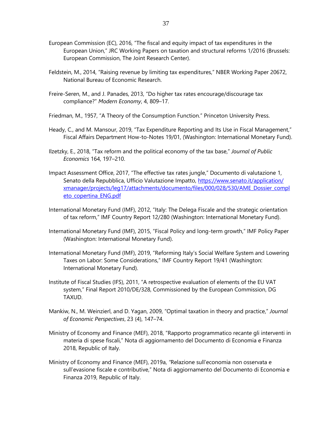- European Commission (EC), 2016, "The fiscal and equity impact of tax expenditures in the European Union," JRC Working Papers on taxation and structural reforms 1/2016 (Brussels: European Commission, The Joint Research Center).
- Feldstein, M., 2014, "Raising revenue by limiting tax expenditures," NBER Working Paper 20672, National Bureau of Economic Research.
- Freire-Seren, M., and J. Panades, 2013, "Do higher tax rates encourage/discourage tax compliance?" *Modern Economy*, 4, 809–17.
- Friedman, M., 1957, "A Theory of the Consumption Function." Princeton University Press.
- Heady, C., and M. Mansour, 2019, "Tax Expenditure Reporting and Its Use in Fiscal Management," Fiscal Affairs Department How-to-Notes 19/01, (Washington: International Monetary Fund).
- Ilzetzky, E., 2018, "Tax reform and the political economy of the tax base," *Journal of Public Economics* 164, 197–210.
- Impact Assessment Office, 2017, "The effective tax rates jungle," Documento di valutazione 1, Senato della Repubblica, Ufficio Valutazione Impatto, [https://www.senato.it/application/](https://www.senato.it/application/%20xmanager/projects/leg17/attachments/documento/files/000/028/530/AME_Dossier_completo_copertina_ENG.pdf)  [xmanager/projects/leg17/attachments/documento/files/000/028/530/AME\\_Dossier\\_compl](https://www.senato.it/application/%20xmanager/projects/leg17/attachments/documento/files/000/028/530/AME_Dossier_completo_copertina_ENG.pdf) [eto\\_copertina\\_ENG.pdf](https://www.senato.it/application/%20xmanager/projects/leg17/attachments/documento/files/000/028/530/AME_Dossier_completo_copertina_ENG.pdf)
- International Monetary Fund (IMF), 2012, "Italy: The Delega Fiscale and the strategic orientation of tax reform," IMF Country Report 12/280 (Washington: International Monetary Fund).
- International Monetary Fund (IMF), 2015, "Fiscal Policy and long-term growth," IMF Policy Paper (Washington: International Monetary Fund).
- International Monetary Fund (IMF), 2019, "Reforming Italy's Social Welfare System and Lowering Taxes on Labor: Some Considerations," IMF Country Report 19/41 (Washington: International Monetary Fund).
- Institute of Fiscal Studies (IFS), 2011, "A retrospective evaluation of elements of the EU VAT system," Final Report 2010/DE/328, Commissioned by the European Commission, DG TAXUD.
- Mankiw, N., M. Weinzierl, and D. Yagan, 2009, "Optimal taxation in theory and practice," *Journal of Economic Perspectives*, 23 (4), 147–74.
- Ministry of Economy and Finance (MEF), 2018, "Rapporto programmatico recante gli interventi in materia di spese fiscali," Nota di aggiornamento del Documento di Economia e Finanza 2018, Republic of Italy.
- Ministry of Economy and Finance (MEF), 2019a, *"*Relazione sull'economia non osservata e sull'evasione fiscale e contributive," Nota di aggiornamento del Documento di Economia e Finanza 2019, Republic of Italy.